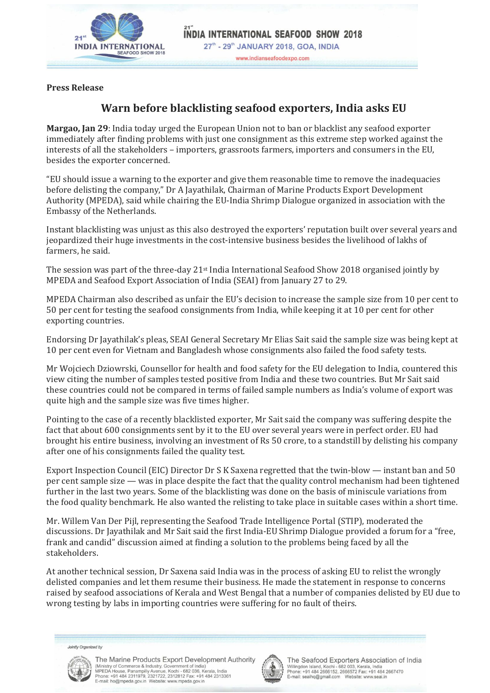

www.indianseafoodexpo.com

**Press Release**

## **Warn before blacklisting seafood exporters, India asks EU**

**Margao, Jan 29**: India today urged the European Union not to ban or blacklist any seafood exporter immediately after finding problems with just one consignment as this extreme step worked against the interests of all the stakeholders – importers, grassroots farmers, importers and consumers in the EU, besides the exporter concerned.

"EU should issue a warning to the exporter and give them reasonable time to remove the inadequacies before delisting the company," Dr A Jayathilak, Chairman of Marine Products Export Development Authority (MPEDA), said while chairing the EU-India Shrimp Dialogue organized in association with the Embassy of the Netherlands.

Instant blacklisting was unjust as this also destroyed the exporters' reputation built over several years and jeopardized their huge investments in the cost-intensive business besides the livelihood of lakhs of farmers, he said.

The session was part of the three-day 21st India International Seafood Show 2018 organised jointly by MPEDA and Seafood Export Association of India (SEAI) from January 27 to 29.

MPEDA Chairman also described as unfair the EU's decision to increase the sample size from 10 per cent to 50 per cent for testing the seafood consignments from India, while keeping it at 10 per cent for other exporting countries.

Endorsing Dr Jayathilak's pleas, SEAI General Secretary Mr Elias Sait said the sample size was being kept at 10 per cent even for Vietnam and Bangladesh whose consignments also failed the food safety tests.

Mr Wojciech Dziowrski, Counsellor for health and food safety for the EU delegation to India, countered this view citing the number of samples tested positive from India and these two countries. But Mr Sait said these countries could not be compared in terms of failed sample numbers as India's volume of export was quite high and the sample size was five times higher.

Pointing to the case of a recently blacklisted exporter, Mr Sait said the company was suffering despite the fact that about 600 consignments sent by it to the EU over several years were in perfect order. EU had brought his entire business, involving an investment of Rs 50 crore, to a standstill by delisting his company after one of his consignments failed the quality test.

Export Inspection Council (EIC) Director Dr S K Saxena regretted that the twin-blow — instant ban and 50 per cent sample size — was in place despite the fact that the quality control mechanism had been tightened further in the last two years. Some of the blacklisting was done on the basis of miniscule variations from the food quality benchmark. He also wanted the relisting to take place in suitable cases within a short time.

Mr. Willem Van Der Pijl, representing the Seafood Trade Intelligence Portal (STIP), moderated the discussions. Dr Jayathilak and Mr Sait said the first India-EU Shrimp Dialogue provided a forum for a "free, frank and candid" discussion aimed at finding a solution to the problems being faced by all the stakeholders.

At another technical session, Dr Saxena said India was in the process of asking EU to relist the wrongly delisted companies and let them resume their business. He made the statement in response to concerns raised by seafood associations of Kerala and West Bengal that a number of companies delisted by EU due to wrong testing by labs in importing countries were suffering for no fault of theirs.

Jointly Organized by



The Marine Products Export Development Authority (Ministry of Commerce & Industry, Government of India)<br>MPEDA House, Panampilly Avenue, Kochi - 682 036, Kerala, India<br>Phone: +91 484 2311979, 2321722, 2312812 Fax: +91 484 2313361<br>E-mail: ho@mpeda.gov.in Website: www.mpeda



The Seafood Exporters Association of India Willingdon Island, Kochi - 682 003, Kerala, India<br>Phone: +91 484 2666152, 2666572 Fax: +91 484 2667470<br>E-mail: seaihq@gmail.com Website: www.seai.in